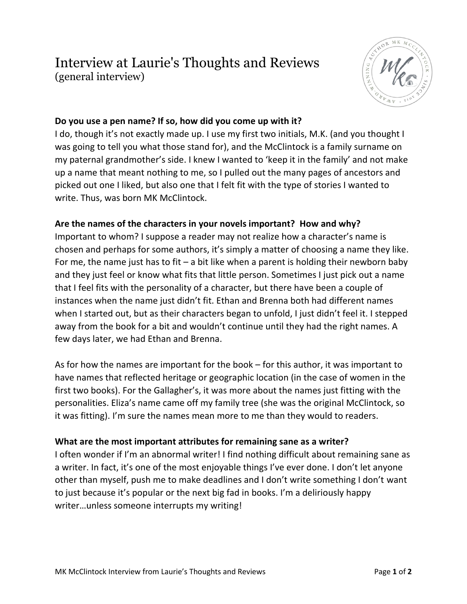# Interview at Laurie's Thoughts and Reviews (general interview)



## **Do you use a pen name? If so, how did you come up with it?**

I do, though it's not exactly made up. I use my first two initials, M.K. (and you thought I was going to tell you what those stand for), and the McClintock is a family surname on my paternal grandmother's side. I knew I wanted to 'keep it in the family' and not make up a name that meant nothing to me, so I pulled out the many pages of ancestors and picked out one I liked, but also one that I felt fit with the type of stories I wanted to write. Thus, was born MK McClintock.

### **Are the names of the characters in your novels important? How and why?**

Important to whom? I suppose a reader may not realize how a character's name is chosen and perhaps for some authors, it's simply a matter of choosing a name they like. For me, the name just has to fit – a bit like when a parent is holding their newborn baby and they just feel or know what fits that little person. Sometimes I just pick out a name that I feel fits with the personality of a character, but there have been a couple of instances when the name just didn't fit. Ethan and Brenna both had different names when I started out, but as their characters began to unfold, I just didn't feel it. I stepped away from the book for a bit and wouldn't continue until they had the right names. A few days later, we had Ethan and Brenna.

As for how the names are important for the book – for this author, it was important to have names that reflected heritage or geographic location (in the case of women in the first two books). For the Gallagher's, it was more about the names just fitting with the personalities. Eliza's name came off my family tree (she was the original McClintock, so it was fitting). I'm sure the names mean more to me than they would to readers.

### **What are the most important attributes for remaining sane as a writer?**

I often wonder if I'm an abnormal writer! I find nothing difficult about remaining sane as a writer. In fact, it's one of the most enjoyable things I've ever done. I don't let anyone other than myself, push me to make deadlines and I don't write something I don't want to just because it's popular or the next big fad in books. I'm a deliriously happy writer…unless someone interrupts my writing!